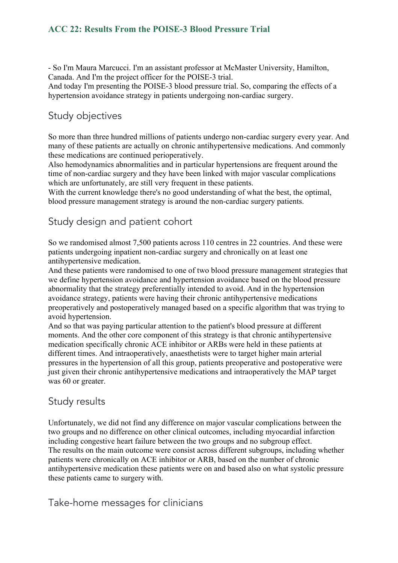#### **ACC 22: Results From the POISE-3 Blood Pressure Trial**

- So I'm Maura Marcucci. I'm an assistant professor at McMaster University, Hamilton, Canada. And I'm the project officer for the POISE-3 trial.

And today I'm presenting the POISE-3 blood pressure trial. So, comparing the effects of a hypertension avoidance strategy in patients undergoing non-cardiac surgery.

# Study objectives

So more than three hundred millions of patients undergo non-cardiac surgery every year. And many of these patients are actually on chronic antihypertensive medications. And commonly these medications are continued perioperatively.

Also hemodynamics abnormalities and in particular hypertensions are frequent around the time of non-cardiac surgery and they have been linked with major vascular complications which are unfortunately, are still very frequent in these patients.

With the current knowledge there's no good understanding of what the best, the optimal, blood pressure management strategy is around the non-cardiac surgery patients.

# Study design and patient cohort

So we randomised almost 7,500 patients across 110 centres in 22 countries. And these were patients undergoing inpatient non-cardiac surgery and chronically on at least one antihypertensive medication.

And these patients were randomised to one of two blood pressure management strategies that we define hypertension avoidance and hypertension avoidance based on the blood pressure abnormality that the strategy preferentially intended to avoid. And in the hypertension avoidance strategy, patients were having their chronic antihypertensive medications preoperatively and postoperatively managed based on a specific algorithm that was trying to avoid hypertension.

And so that was paying particular attention to the patient's blood pressure at different moments. And the other core component of this strategy is that chronic antihypertensive medication specifically chronic ACE inhibitor or ARBs were held in these patients at different times. And intraoperatively, anaesthetists were to target higher main arterial pressures in the hypertension of all this group, patients preoperative and postoperative were just given their chronic antihypertensive medications and intraoperatively the MAP target was 60 or greater.

## Study results

Unfortunately, we did not find any difference on major vascular complications between the two groups and no difference on other clinical outcomes, including myocardial infarction including congestive heart failure between the two groups and no subgroup effect. The results on the main outcome were consist across different subgroups, including whether patients were chronically on ACE inhibitor or ARB, based on the number of chronic antihypertensive medication these patients were on and based also on what systolic pressure these patients came to surgery with.

## Take-home messages for clinicians